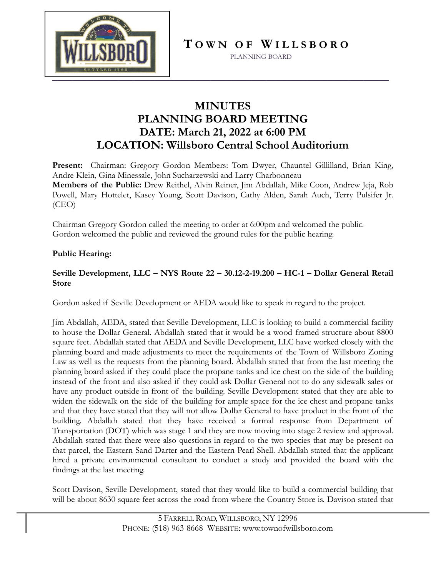

**T O W N O F W I L L S B O R O**

PLANNING BOARD

## **MINUTES PLANNING BOARD MEETING DATE: March 21, 2022 at 6:00 PM LOCATION: Willsboro Central School Auditorium**

**Present:** Chairman: Gregory Gordon Members: Tom Dwyer, Chauntel Gillilland, Brian King, Andre Klein, Gina Minessale, John Sucharzewski and Larry Charbonneau **Members of the Public:** Drew Reithel, Alvin Reiner, Jim Abdallah, Mike Coon, Andrew Jeja, Rob Powell, Mary Hottelet, Kasey Young, Scott Davison, Cathy Alden, Sarah Auch, Terry Pulsifer Jr. (CEO)

Chairman Gregory Gordon called the meeting to order at 6:00pm and welcomed the public. Gordon welcomed the public and reviewed the ground rules for the public hearing.

## **Public Hearing:**

## **Seville Development, LLC – NYS Route 22 – 30.12-2-19.200 – HC-1 – Dollar General Retail Store**

Gordon asked if Seville Development or AEDA would like to speak in regard to the project.

Jim Abdallah, AEDA, stated that Seville Development, LLC is looking to build a commercial facility to house the Dollar General. Abdallah stated that it would be a wood framed structure about 8800 square feet. Abdallah stated that AEDA and Seville Development, LLC have worked closely with the planning board and made adjustments to meet the requirements of the Town of Willsboro Zoning Law as well as the requests from the planning board. Abdallah stated that from the last meeting the planning board asked if they could place the propane tanks and ice chest on the side of the building instead of the front and also asked if they could ask Dollar General not to do any sidewalk sales or have any product outside in front of the building. Seville Development stated that they are able to widen the sidewalk on the side of the building for ample space for the ice chest and propane tanks and that they have stated that they will not allow Dollar General to have product in the front of the building. Abdallah stated that they have received a formal response from Department of Transportation (DOT) which was stage 1 and they are now moving into stage 2 review and approval. Abdallah stated that there were also questions in regard to the two species that may be present on that parcel, the Eastern Sand Darter and the Eastern Pearl Shell. Abdallah stated that the applicant hired a private environmental consultant to conduct a study and provided the board with the findings at the last meeting.

Scott Davison, Seville Development, stated that they would like to build a commercial building that will be about 8630 square feet across the road from where the Country Store is. Davison stated that